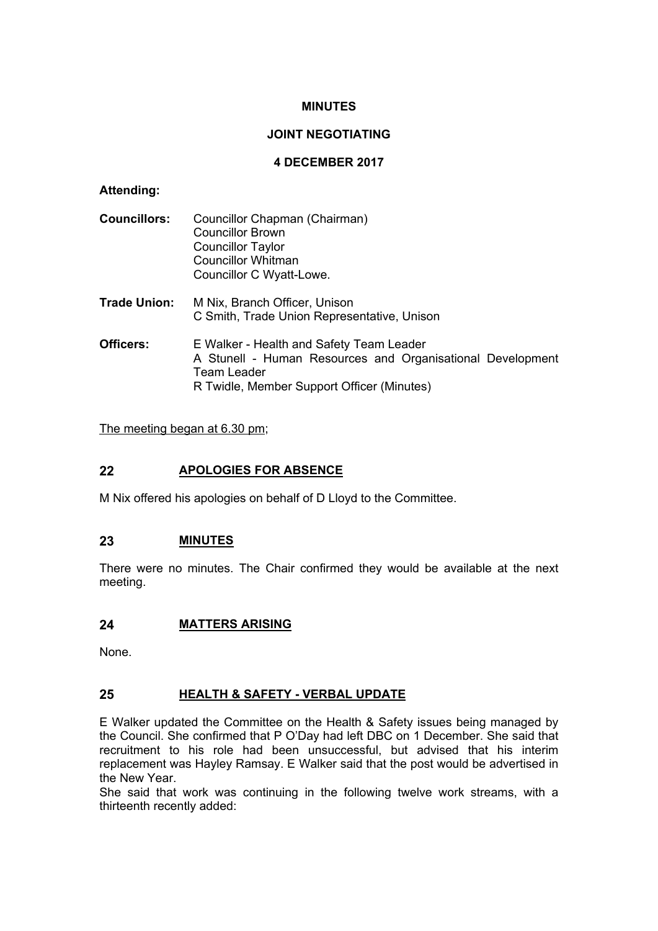# **MINUTES**

# **JOINT NEGOTIATING**

### **4 DECEMBER 2017**

# **Attending:**

| <b>Councillors:</b> | Councillor Chapman (Chairman)<br><b>Councillor Brown</b><br><b>Councillor Taylor</b><br><b>Councillor Whitman</b><br>Councillor C Wyatt-Lowe.                       |
|---------------------|---------------------------------------------------------------------------------------------------------------------------------------------------------------------|
| <b>Trade Union:</b> | M Nix, Branch Officer, Unison<br>C Smith, Trade Union Representative, Unison                                                                                        |
| Officers:           | E Walker - Health and Safety Team Leader<br>A Stunell - Human Resources and Organisational Development<br>Team Leader<br>R Twidle, Member Support Officer (Minutes) |

The meeting began at 6.30 pm;

# **22 APOLOGIES FOR ABSENCE**

M Nix offered his apologies on behalf of D Lloyd to the Committee.

# **23 MINUTES**

There were no minutes. The Chair confirmed they would be available at the next meeting.

# **24 MATTERS ARISING**

None.

# **25 HEALTH & SAFETY - VERBAL UPDATE**

E Walker updated the Committee on the Health & Safety issues being managed by the Council. She confirmed that P O'Day had left DBC on 1 December. She said that recruitment to his role had been unsuccessful, but advised that his interim replacement was Hayley Ramsay. E Walker said that the post would be advertised in the New Year.

She said that work was continuing in the following twelve work streams, with a thirteenth recently added: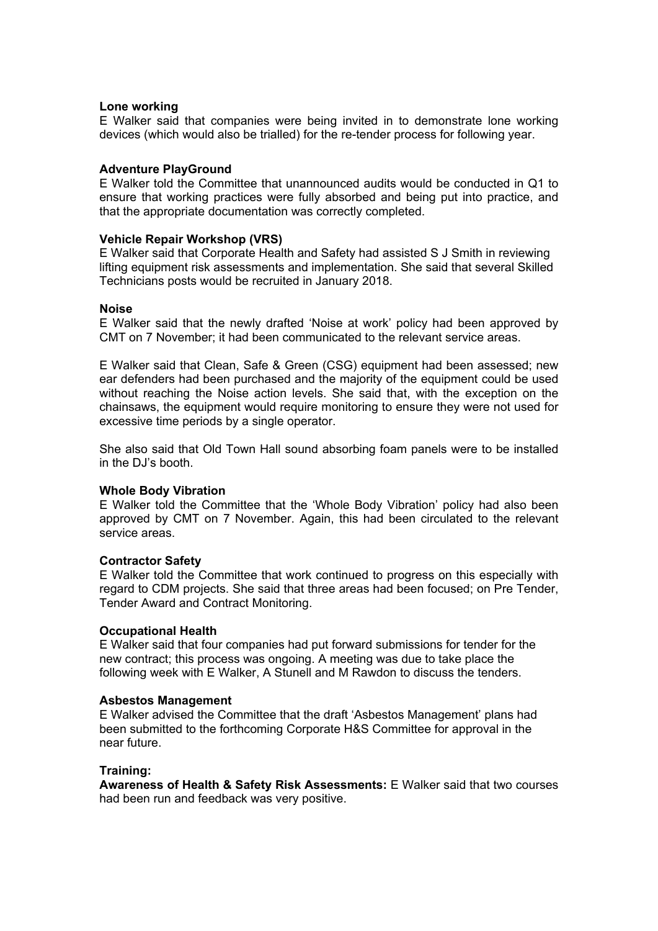### **Lone working**

E Walker said that companies were being invited in to demonstrate lone working devices (which would also be trialled) for the re-tender process for following year.

# **Adventure PlayGround**

E Walker told the Committee that unannounced audits would be conducted in Q1 to ensure that working practices were fully absorbed and being put into practice, and that the appropriate documentation was correctly completed.

### **Vehicle Repair Workshop (VRS)**

E Walker said that Corporate Health and Safety had assisted S J Smith in reviewing lifting equipment risk assessments and implementation. She said that several Skilled Technicians posts would be recruited in January 2018.

### **Noise**

E Walker said that the newly drafted 'Noise at work' policy had been approved by CMT on 7 November; it had been communicated to the relevant service areas.

E Walker said that Clean, Safe & Green (CSG) equipment had been assessed; new ear defenders had been purchased and the majority of the equipment could be used without reaching the Noise action levels. She said that, with the exception on the chainsaws, the equipment would require monitoring to ensure they were not used for excessive time periods by a single operator.

She also said that Old Town Hall sound absorbing foam panels were to be installed in the DJ's booth.

### **Whole Body Vibration**

E Walker told the Committee that the 'Whole Body Vibration' policy had also been approved by CMT on 7 November. Again, this had been circulated to the relevant service areas.

### **Contractor Safety**

E Walker told the Committee that work continued to progress on this especially with regard to CDM projects. She said that three areas had been focused; on Pre Tender, Tender Award and Contract Monitoring.

### **Occupational Health**

E Walker said that four companies had put forward submissions for tender for the new contract; this process was ongoing. A meeting was due to take place the following week with E Walker, A Stunell and M Rawdon to discuss the tenders.

### **Asbestos Management**

E Walker advised the Committee that the draft 'Asbestos Management' plans had been submitted to the forthcoming Corporate H&S Committee for approval in the near future.

### **Training:**

**Awareness of Health & Safety Risk Assessments:** E Walker said that two courses had been run and feedback was very positive.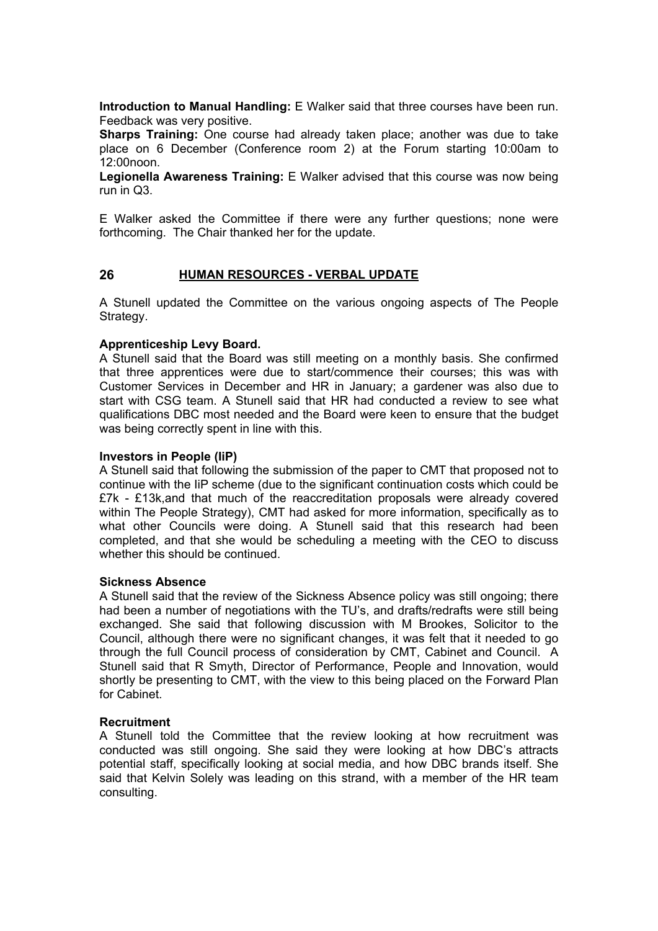**Introduction to Manual Handling:** E Walker said that three courses have been run. Feedback was very positive.

**Sharps Training:** One course had already taken place; another was due to take place on 6 December (Conference room 2) at the Forum starting 10:00am to 12:00noon.

**Legionella Awareness Training:** E Walker advised that this course was now being run in Q3.

E Walker asked the Committee if there were any further questions; none were forthcoming. The Chair thanked her for the update.

### **26 HUMAN RESOURCES - VERBAL UPDATE**

A Stunell updated the Committee on the various ongoing aspects of The People Strategy.

### **Apprenticeship Levy Board.**

A Stunell said that the Board was still meeting on a monthly basis. She confirmed that three apprentices were due to start/commence their courses; this was with Customer Services in December and HR in January; a gardener was also due to start with CSG team. A Stunell said that HR had conducted a review to see what qualifications DBC most needed and the Board were keen to ensure that the budget was being correctly spent in line with this.

### **Investors in People (IiP)**

A Stunell said that following the submission of the paper to CMT that proposed not to continue with the IiP scheme (due to the significant continuation costs which could be £7k - £13k,and that much of the reaccreditation proposals were already covered within The People Strategy), CMT had asked for more information, specifically as to what other Councils were doing. A Stunell said that this research had been completed, and that she would be scheduling a meeting with the CEO to discuss whether this should be continued.

### **Sickness Absence**

A Stunell said that the review of the Sickness Absence policy was still ongoing; there had been a number of negotiations with the TU's, and drafts/redrafts were still being exchanged. She said that following discussion with M Brookes, Solicitor to the Council, although there were no significant changes, it was felt that it needed to go through the full Council process of consideration by CMT, Cabinet and Council. A Stunell said that R Smyth, Director of Performance, People and Innovation, would shortly be presenting to CMT, with the view to this being placed on the Forward Plan for Cabinet.

### **Recruitment**

A Stunell told the Committee that the review looking at how recruitment was conducted was still ongoing. She said they were looking at how DBC's attracts potential staff, specifically looking at social media, and how DBC brands itself. She said that Kelvin Solely was leading on this strand, with a member of the HR team consulting.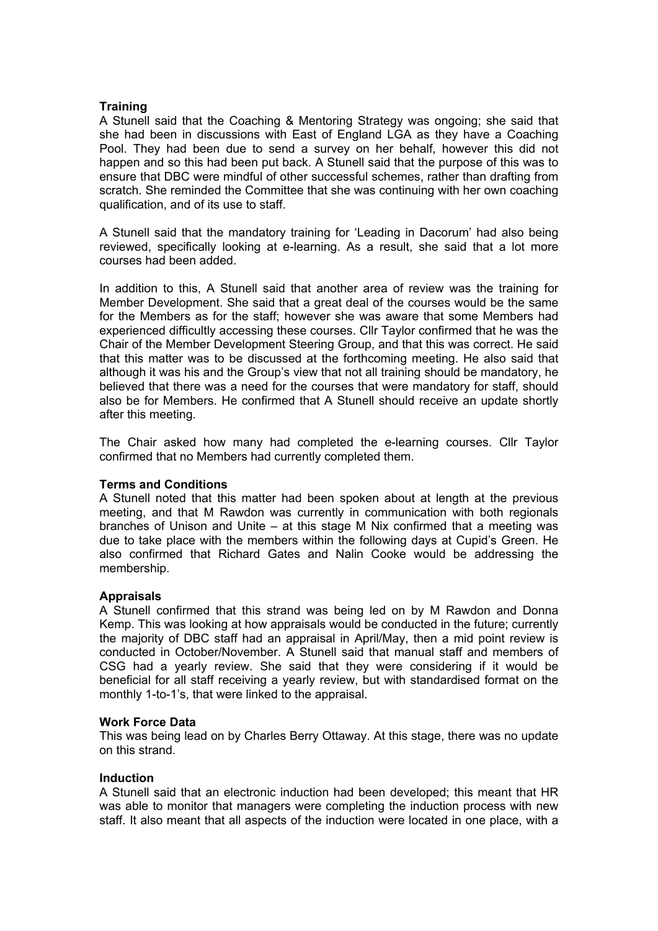### **Training**

A Stunell said that the Coaching & Mentoring Strategy was ongoing; she said that she had been in discussions with East of England LGA as they have a Coaching Pool. They had been due to send a survey on her behalf, however this did not happen and so this had been put back. A Stunell said that the purpose of this was to ensure that DBC were mindful of other successful schemes, rather than drafting from scratch. She reminded the Committee that she was continuing with her own coaching qualification, and of its use to staff.

A Stunell said that the mandatory training for 'Leading in Dacorum' had also being reviewed, specifically looking at e-learning. As a result, she said that a lot more courses had been added.

In addition to this, A Stunell said that another area of review was the training for Member Development. She said that a great deal of the courses would be the same for the Members as for the staff; however she was aware that some Members had experienced difficultly accessing these courses. Cllr Taylor confirmed that he was the Chair of the Member Development Steering Group, and that this was correct. He said that this matter was to be discussed at the forthcoming meeting. He also said that although it was his and the Group's view that not all training should be mandatory, he believed that there was a need for the courses that were mandatory for staff, should also be for Members. He confirmed that A Stunell should receive an update shortly after this meeting.

The Chair asked how many had completed the e-learning courses. Cllr Taylor confirmed that no Members had currently completed them.

### **Terms and Conditions**

A Stunell noted that this matter had been spoken about at length at the previous meeting, and that M Rawdon was currently in communication with both regionals branches of Unison and Unite – at this stage M Nix confirmed that a meeting was due to take place with the members within the following days at Cupid's Green. He also confirmed that Richard Gates and Nalin Cooke would be addressing the membership.

### **Appraisals**

A Stunell confirmed that this strand was being led on by M Rawdon and Donna Kemp. This was looking at how appraisals would be conducted in the future; currently the majority of DBC staff had an appraisal in April/May, then a mid point review is conducted in October/November. A Stunell said that manual staff and members of CSG had a yearly review. She said that they were considering if it would be beneficial for all staff receiving a yearly review, but with standardised format on the monthly 1-to-1's, that were linked to the appraisal.

### **Work Force Data**

This was being lead on by Charles Berry Ottaway. At this stage, there was no update on this strand.

### **Induction**

A Stunell said that an electronic induction had been developed; this meant that HR was able to monitor that managers were completing the induction process with new staff. It also meant that all aspects of the induction were located in one place, with a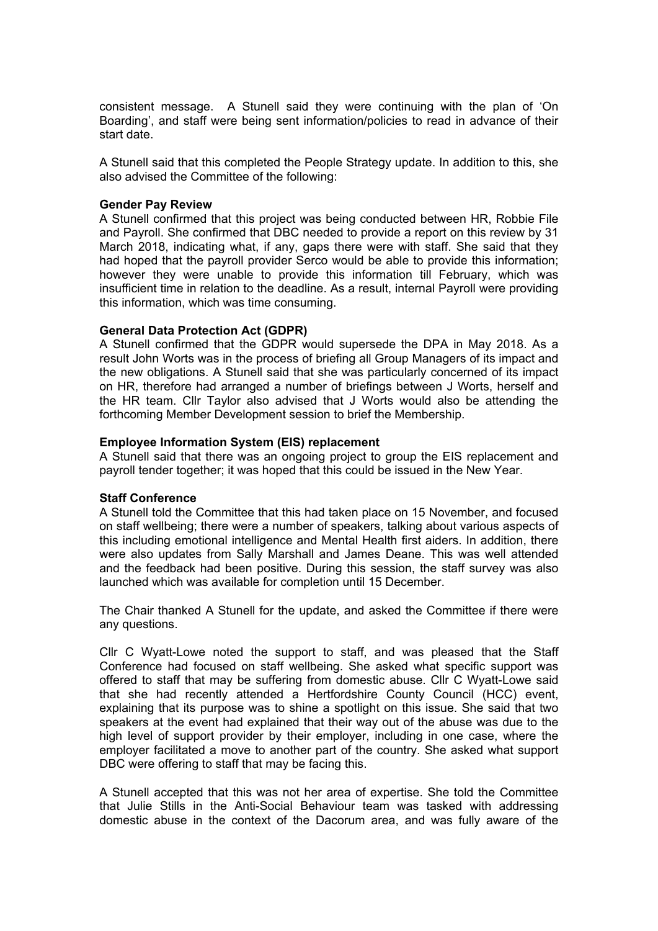consistent message. A Stunell said they were continuing with the plan of 'On Boarding', and staff were being sent information/policies to read in advance of their start date.

A Stunell said that this completed the People Strategy update. In addition to this, she also advised the Committee of the following:

### **Gender Pay Review**

A Stunell confirmed that this project was being conducted between HR, Robbie File and Payroll. She confirmed that DBC needed to provide a report on this review by 31 March 2018, indicating what, if any, gaps there were with staff. She said that they had hoped that the payroll provider Serco would be able to provide this information; however they were unable to provide this information till February, which was insufficient time in relation to the deadline. As a result, internal Payroll were providing this information, which was time consuming.

### **General Data Protection Act (GDPR)**

A Stunell confirmed that the GDPR would supersede the DPA in May 2018. As a result John Worts was in the process of briefing all Group Managers of its impact and the new obligations. A Stunell said that she was particularly concerned of its impact on HR, therefore had arranged a number of briefings between J Worts, herself and the HR team. Cllr Taylor also advised that J Worts would also be attending the forthcoming Member Development session to brief the Membership.

### **Employee Information System (EIS) replacement**

A Stunell said that there was an ongoing project to group the EIS replacement and payroll tender together; it was hoped that this could be issued in the New Year.

### **Staff Conference**

A Stunell told the Committee that this had taken place on 15 November, and focused on staff wellbeing; there were a number of speakers, talking about various aspects of this including emotional intelligence and Mental Health first aiders. In addition, there were also updates from Sally Marshall and James Deane. This was well attended and the feedback had been positive. During this session, the staff survey was also launched which was available for completion until 15 December.

The Chair thanked A Stunell for the update, and asked the Committee if there were any questions.

Cllr C Wyatt-Lowe noted the support to staff, and was pleased that the Staff Conference had focused on staff wellbeing. She asked what specific support was offered to staff that may be suffering from domestic abuse. Cllr C Wyatt-Lowe said that she had recently attended a Hertfordshire County Council (HCC) event, explaining that its purpose was to shine a spotlight on this issue. She said that two speakers at the event had explained that their way out of the abuse was due to the high level of support provider by their employer, including in one case, where the employer facilitated a move to another part of the country. She asked what support DBC were offering to staff that may be facing this.

A Stunell accepted that this was not her area of expertise. She told the Committee that Julie Stills in the Anti-Social Behaviour team was tasked with addressing domestic abuse in the context of the Dacorum area, and was fully aware of the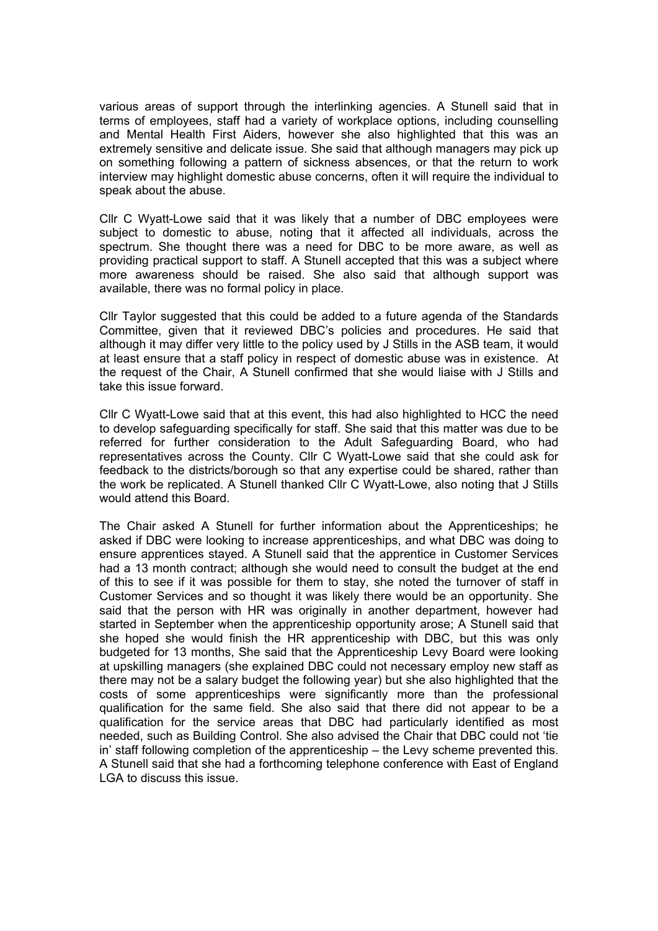various areas of support through the interlinking agencies. A Stunell said that in terms of employees, staff had a variety of workplace options, including counselling and Mental Health First Aiders, however she also highlighted that this was an extremely sensitive and delicate issue. She said that although managers may pick up on something following a pattern of sickness absences, or that the return to work interview may highlight domestic abuse concerns, often it will require the individual to speak about the abuse.

Cllr C Wyatt-Lowe said that it was likely that a number of DBC employees were subject to domestic to abuse, noting that it affected all individuals, across the spectrum. She thought there was a need for DBC to be more aware, as well as providing practical support to staff. A Stunell accepted that this was a subject where more awareness should be raised. She also said that although support was available, there was no formal policy in place.

Cllr Taylor suggested that this could be added to a future agenda of the Standards Committee, given that it reviewed DBC's policies and procedures. He said that although it may differ very little to the policy used by J Stills in the ASB team, it would at least ensure that a staff policy in respect of domestic abuse was in existence. At the request of the Chair, A Stunell confirmed that she would liaise with J Stills and take this issue forward.

Cllr C Wyatt-Lowe said that at this event, this had also highlighted to HCC the need to develop safeguarding specifically for staff. She said that this matter was due to be referred for further consideration to the Adult Safeguarding Board, who had representatives across the County. Cllr C Wyatt-Lowe said that she could ask for feedback to the districts/borough so that any expertise could be shared, rather than the work be replicated. A Stunell thanked Cllr C Wyatt-Lowe, also noting that J Stills would attend this Board.

The Chair asked A Stunell for further information about the Apprenticeships; he asked if DBC were looking to increase apprenticeships, and what DBC was doing to ensure apprentices stayed. A Stunell said that the apprentice in Customer Services had a 13 month contract; although she would need to consult the budget at the end of this to see if it was possible for them to stay, she noted the turnover of staff in Customer Services and so thought it was likely there would be an opportunity. She said that the person with HR was originally in another department, however had started in September when the apprenticeship opportunity arose; A Stunell said that she hoped she would finish the HR apprenticeship with DBC, but this was only budgeted for 13 months, She said that the Apprenticeship Levy Board were looking at upskilling managers (she explained DBC could not necessary employ new staff as there may not be a salary budget the following year) but she also highlighted that the costs of some apprenticeships were significantly more than the professional qualification for the same field. She also said that there did not appear to be a qualification for the service areas that DBC had particularly identified as most needed, such as Building Control. She also advised the Chair that DBC could not 'tie in' staff following completion of the apprenticeship – the Levy scheme prevented this. A Stunell said that she had a forthcoming telephone conference with East of England LGA to discuss this issue.